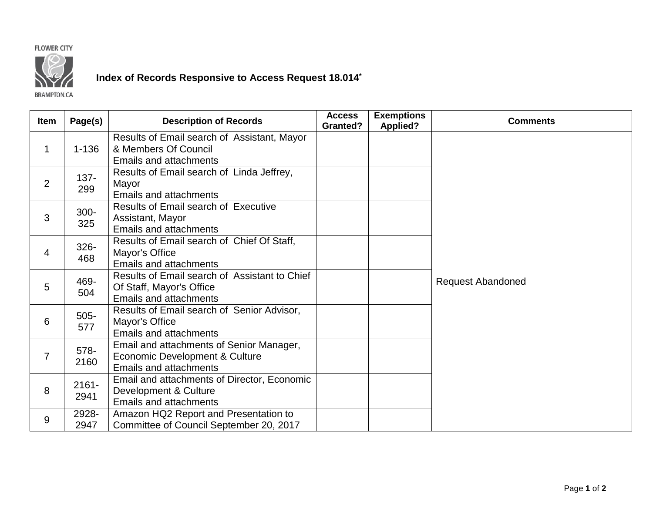## **FLOWER CITY**



## **Index of Records Responsive to Access Request 18.014\***

**BRAMPTON.CA** 

| <b>Item</b>    | Page(s)          | <b>Description of Records</b>                                                                               | <b>Access</b><br><b>Granted?</b> | <b>Exemptions</b><br><b>Applied?</b> | <b>Comments</b>          |
|----------------|------------------|-------------------------------------------------------------------------------------------------------------|----------------------------------|--------------------------------------|--------------------------|
| $\mathbf{1}$   | $1 - 136$        | Results of Email search of Assistant, Mayor<br>& Members Of Council<br><b>Emails and attachments</b>        |                                  |                                      | <b>Request Abandoned</b> |
| $\overline{2}$ | $137 -$<br>299   | Results of Email search of Linda Jeffrey,<br>Mayor<br><b>Emails and attachments</b>                         |                                  |                                      |                          |
| 3              | $300 -$<br>325   | Results of Email search of Executive<br>Assistant, Mayor<br><b>Emails and attachments</b>                   |                                  |                                      |                          |
| $\overline{4}$ | $326 -$<br>468   | Results of Email search of Chief Of Staff,<br>Mayor's Office<br><b>Emails and attachments</b>               |                                  |                                      |                          |
| 5              | 469-<br>504      | Results of Email search of Assistant to Chief<br>Of Staff, Mayor's Office<br><b>Emails and attachments</b>  |                                  |                                      |                          |
| 6              | $505 -$<br>577   | Results of Email search of Senior Advisor,<br>Mayor's Office<br><b>Emails and attachments</b>               |                                  |                                      |                          |
| $\overline{7}$ | 578-<br>2160     | Email and attachments of Senior Manager,<br>Economic Development & Culture<br><b>Emails and attachments</b> |                                  |                                      |                          |
| 8              | $2161 -$<br>2941 | Email and attachments of Director, Economic<br>Development & Culture<br><b>Emails and attachments</b>       |                                  |                                      |                          |
| 9              | 2928-<br>2947    | Amazon HQ2 Report and Presentation to<br>Committee of Council September 20, 2017                            |                                  |                                      |                          |